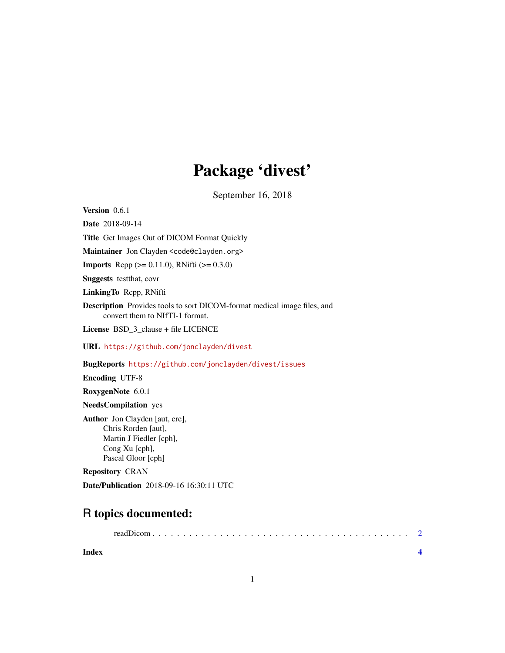## Package 'divest'

September 16, 2018

<span id="page-0-0"></span>Version 0.6.1

Date 2018-09-14

Title Get Images Out of DICOM Format Quickly

Maintainer Jon Clayden <code@clayden.org>

**Imports** Rcpp ( $>= 0.11.0$ ), RNifti ( $>= 0.3.0$ )

Suggests testthat, covr

LinkingTo Rcpp, RNifti

Description Provides tools to sort DICOM-format medical image files, and convert them to NIfTI-1 format.

License BSD\_3\_clause + file LICENCE

URL <https://github.com/jonclayden/divest>

BugReports <https://github.com/jonclayden/divest/issues>

Encoding UTF-8

RoxygenNote 6.0.1

#### NeedsCompilation yes

Author Jon Clayden [aut, cre], Chris Rorden [aut], Martin J Fiedler [cph], Cong Xu [cph], Pascal Gloor [cph]

Repository CRAN

Date/Publication 2018-09-16 16:30:11 UTC

### R topics documented:

**Index** [4](#page-3-0)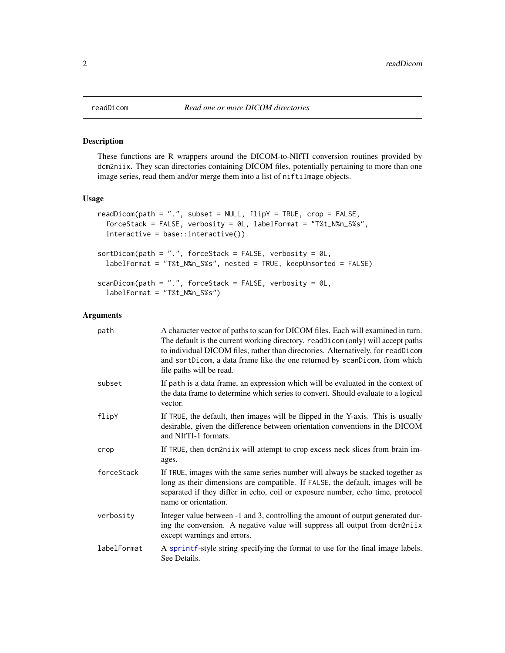#### Description

These functions are R wrappers around the DICOM-to-NIfTI conversion routines provided by dcm2niix. They scan directories containing DICOM files, potentially pertaining to more than one image series, read them and/or merge them into a list of niftiImage objects.

#### Usage

```
readDicom(path = ".", subset = NULL, flipY = TRUE, crop = FALSE,
  forceStack = FALSE, verbosity = 0L, labelFormat = "T%t_N%n_S%s",
  interactive = base::interactive())
sortDicom(path = ".", forceStack = FALSE, verbosity = @L,
  labelFormat = "T%t_N%n_S%s", nested = TRUE, keepUnsorted = FALSE)
scanDicom(path = ".", forceStack = FALSE, verbosity = @L,
  labelFormat = "T%t_N%n_S%s")
```
#### Arguments

| path        | A character vector of paths to scan for DICOM files. Each will examined in turn.<br>The default is the current working directory. readDicom (only) will accept paths<br>to individual DICOM files, rather than directories. Alternatively, for readDicom<br>and sortDicom, a data frame like the one returned by scanDicom, from which<br>file paths will be read. |
|-------------|--------------------------------------------------------------------------------------------------------------------------------------------------------------------------------------------------------------------------------------------------------------------------------------------------------------------------------------------------------------------|
| subset      | If path is a data frame, an expression which will be evaluated in the context of<br>the data frame to determine which series to convert. Should evaluate to a logical<br>vector.                                                                                                                                                                                   |
| flipY       | If TRUE, the default, then images will be flipped in the Y-axis. This is usually<br>desirable, given the difference between orientation conventions in the DICOM<br>and NIfTI-1 formats.                                                                                                                                                                           |
| crop        | If TRUE, then dcm2niix will attempt to crop excess neck slices from brain im-<br>ages.                                                                                                                                                                                                                                                                             |
| forceStack  | If TRUE, images with the same series number will always be stacked together as<br>long as their dimensions are compatible. If FALSE, the default, images will be<br>separated if they differ in echo, coil or exposure number, echo time, protocol<br>name or orientation.                                                                                         |
| verbosity   | Integer value between -1 and 3, controlling the amount of output generated dur-<br>ing the conversion. A negative value will suppress all output from dcm2niix<br>except warnings and errors.                                                                                                                                                                      |
| labelFormat | A sprintf-style string specifying the format to use for the final image labels.<br>See Details.                                                                                                                                                                                                                                                                    |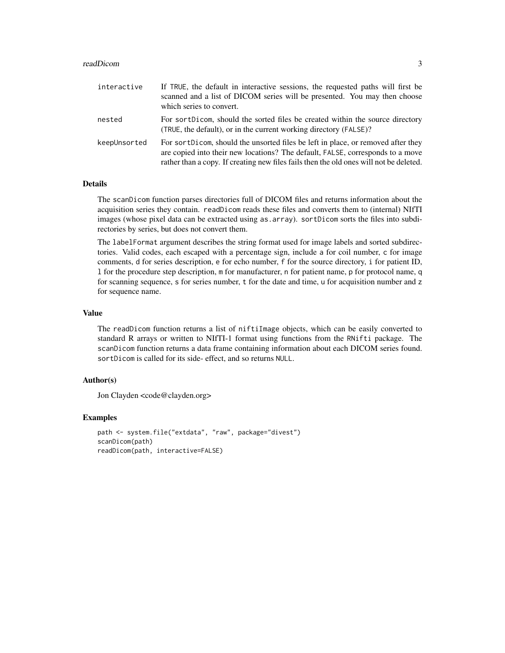#### readDicom 3

| interactive  | If TRUE, the default in interactive sessions, the requested paths will first be<br>scanned and a list of DICOM series will be presented. You may then choose<br>which series to convert.                                                                      |
|--------------|---------------------------------------------------------------------------------------------------------------------------------------------------------------------------------------------------------------------------------------------------------------|
| nested       | For sortDicom, should the sorted files be created within the source directory<br>(TRUE, the default), or in the current working directory (FALSE)?                                                                                                            |
| keepUnsorted | For sort Dicom, should the unsorted files be left in place, or removed after they<br>are copied into their new locations? The default, FALSE, corresponds to a move<br>rather than a copy. If creating new files fails then the old ones will not be deleted. |

#### Details

The scanDicom function parses directories full of DICOM files and returns information about the acquisition series they contain. readDicom reads these files and converts them to (internal) NIfTI images (whose pixel data can be extracted using as.array). sortDicom sorts the files into subdirectories by series, but does not convert them.

The labelFormat argument describes the string format used for image labels and sorted subdirectories. Valid codes, each escaped with a percentage sign, include a for coil number, c for image comments, d for series description, e for echo number, f for the source directory, i for patient ID, l for the procedure step description, m for manufacturer, n for patient name, p for protocol name, q for scanning sequence, s for series number, t for the date and time, u for acquisition number and z for sequence name.

#### Value

The readDicom function returns a list of niftiImage objects, which can be easily converted to standard R arrays or written to NIfTI-1 format using functions from the RNifti package. The scanDicom function returns a data frame containing information about each DICOM series found. sortDicom is called for its side- effect, and so returns NULL.

#### Author(s)

Jon Clayden <code@clayden.org>

#### Examples

```
path <- system.file("extdata", "raw", package="divest")
scanDicom(path)
readDicom(path, interactive=FALSE)
```